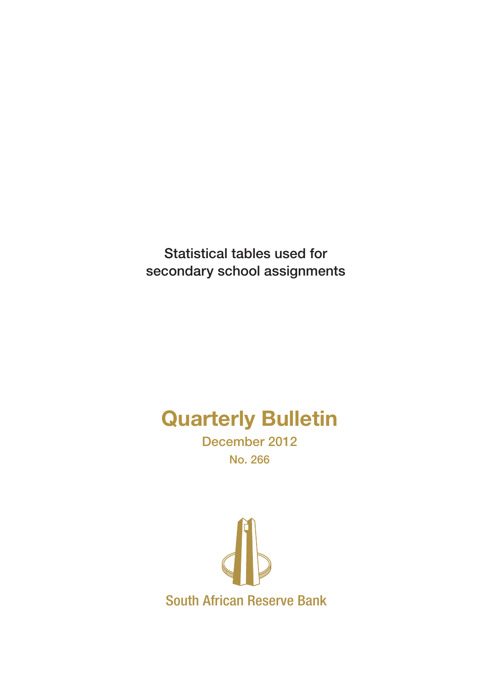Statistical tables used for secondary school assignments

# Quarterly Bulletin

December 2012 No. 266

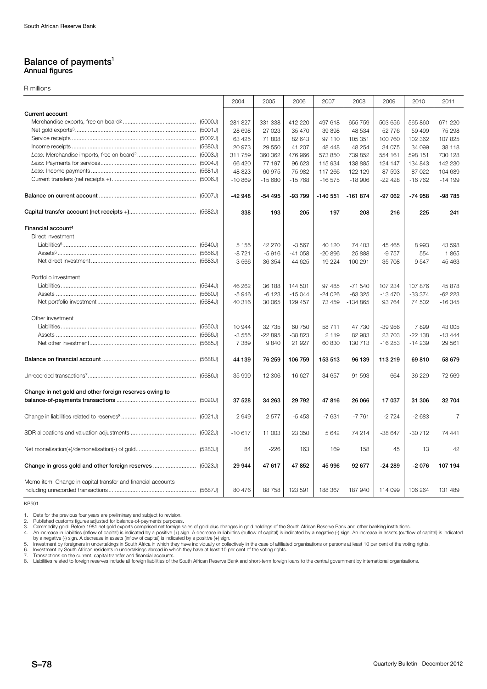## Balance of payments<sup>1</sup> Annual figures

R millions

|                                                              | 2004     | 2005     | 2006     | 2007      | 2008      | 2009     | 2010      | 2011           |
|--------------------------------------------------------------|----------|----------|----------|-----------|-----------|----------|-----------|----------------|
| <b>Current account</b>                                       |          |          |          |           |           |          |           |                |
|                                                              | 281 827  | 331 338  | 412 220  | 497 618   | 655 759   | 503 656  | 565 860   | 671 220        |
|                                                              | 28 698   | 27 0 23  | 35 470   | 39 898    | 48 534    | 52 776   | 59 499    | 75 298         |
|                                                              | 63 4 25  | 71 808   | 82 643   | 97 110    | 105 351   | 100 760  | 102 362   | 107 825        |
|                                                              | 20 973   | 29 550   | 41 207   | 48 448    | 48 254    | 34 075   | 34 099    | 38 118         |
|                                                              | 311 759  | 360 362  | 476 966  | 573 850   | 739 852   | 554 161  | 598 151   | 730 128        |
|                                                              | 66 420   | 77 197   | 96 623   | 115 934   | 138 885   | 124 147  | 134 843   | 142 230        |
|                                                              | 48 823   | 60 975   | 75 982   | 117 266   | 122 129   | 87 593   | 87 022    | 104 689        |
|                                                              | $-10869$ | $-15680$ | $-15768$ | $-16575$  | $-18906$  | $-22428$ | $-16762$  | $-14199$       |
|                                                              | $-42948$ | $-54495$ | -93 799  | $-140551$ | $-161874$ | $-97062$ | $-74958$  | -98 785        |
|                                                              | 338      | 193      | 205      | 197       | 208       | 216      | 225       | 241            |
| Financial account <sup>4</sup>                               |          |          |          |           |           |          |           |                |
| Direct investment                                            |          |          |          |           |           |          |           |                |
|                                                              | 5 1 5 5  | 42 270   | $-3567$  | 40 120    | 74 403    | 45 4 65  | 8993      | 43 598         |
|                                                              | $-8721$  | $-5916$  | $-41058$ | $-20896$  | 25 888    | $-9757$  | 554       | 1865           |
|                                                              | $-3566$  | 36 354   | $-44625$ | 19 2 24   | 100 291   | 35 708   | 9547      | 45 463         |
| Portfolio investment                                         |          |          |          |           |           |          |           |                |
|                                                              | 46 262   | 36 188   | 144 501  | 97 485    | $-71540$  | 107 234  | 107 876   | 45 878         |
|                                                              | $-5946$  | $-6123$  | $-15044$ | $-24026$  | $-633325$ | $-13470$ | $-333374$ | $-62223$       |
|                                                              | 40 316   | 30 065   | 129 457  | 73 459    | -134 865  | 93 764   | 74 502    | $-16345$       |
| Other investment                                             |          |          |          |           |           |          |           |                |
|                                                              | 10 944   | 32 7 35  | 60 750   | 58 711    | 47 730    | -39 956  | 7899      | 43 005         |
|                                                              | $-3555$  | $-22895$ | -38 823  | 2 1 1 9   | 82 983    | 23 703   | $-22138$  | $-13444$       |
|                                                              | 7 3 8 9  | 9840     | 21 927   | 60 830    | 130 713   | $-16253$ | $-14239$  | 29 561         |
|                                                              | 44 139   | 76 259   | 106 759  | 153 513   | 96 139    | 113 219  | 69810     | 58 679         |
|                                                              | 35 999   | 12 30 6  | 16 627   | 34 657    | 91 593    | 664      | 36 229    | 72 569         |
| Change in net gold and other foreign reserves owing to       |          |          |          |           |           |          |           |                |
|                                                              | 37 528   | 34 263   | 29 7 9 2 | 47816     | 26 066    | 17 037   | 31 306    | 32 704         |
|                                                              | 2949     | 2577     | $-5453$  | $-7631$   | $-7761$   | $-2724$  | $-2683$   | $\overline{7}$ |
|                                                              | $-10617$ | 11 003   | 23 350   | 5 6 4 2   | 74 214    | $-38647$ | $-30712$  | 74 441         |
|                                                              | 84       | $-226$   | 163      | 169       | 158       | 45       | 13        | 42             |
|                                                              | 29 944   | 47617    | 47852    | 45 996    | 92 677    | $-24289$ | $-2076$   | 107 194        |
| Memo item: Change in capital transfer and financial accounts | 80 476   | 88758    | 123 591  | 188 367   | 187 940   | 114 099  | 106 264   | 131 489        |

KB501

1. Data for the previous four years are preliminary and subject to revision.<br>2. Published customs figures adjusted for balance-of-payments purposes.<br>3. Commodity gold. Before 1981 net gold expores comprinest purposes.<br>4. A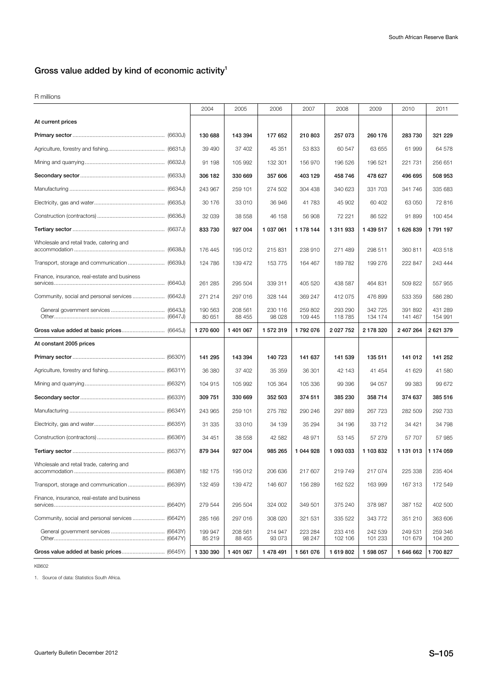# Gross value added by kind of economic activity $1$

R millions

|                                                 | 2004              | 2005              | 2006               | 2007               | 2008               | 2009               | 2010               | 2011               |
|-------------------------------------------------|-------------------|-------------------|--------------------|--------------------|--------------------|--------------------|--------------------|--------------------|
| At current prices                               |                   |                   |                    |                    |                    |                    |                    |                    |
|                                                 | 130 688           | 143 394           | 177 652            | 210 803            | 257 073            | 260 176            | 283 730            | 321 229            |
|                                                 | 39 490            | 37 402            | 45 351             | 53 833             | 60 547             | 63 655             | 61 999             | 64 578             |
|                                                 | 91 198            | 105 992           | 132 301            | 156 970            | 196 526            | 196 521            | 221 731            | 256 651            |
|                                                 | 306 182           | 330 669           | 357 606            | 403 129            | 458746             | 478 627            | 496 695            | 508 953            |
|                                                 | 243 967           | 259 101           | 274 502            | 304 438            | 340 623            | 331 703            | 341 746            | 335 683            |
|                                                 | 30 176            | 33 010            | 36 946             | 41 783             | 45 902             | 60 402             | 63 050             | 72 816             |
|                                                 | 32 039            | 38 558            | 46 158             | 56 908             | 72 221             | 86 522             | 91899              | 100 454            |
|                                                 | 833730            | 927 004           | 1 037 061          | 1 178 144          | 1 311 933          | 1 439 517          | 1 626 839          | 1791197            |
| Wholesale and retail trade, catering and        | 176 445           | 195 012           | 215 831            | 238 910            | 271 489            | 298 511            | 360 811            | 403 518            |
|                                                 | 124 786           | 139 472           | 153 775            | 164 467            | 189782             | 199 276            | 222 847            | 243 444            |
| Finance, insurance, real-estate and business    | 261 285           | 295 504           | 339 311            | 405 520            | 438 587            | 464 831            | 509 822            | 557 955            |
| Community, social and personal services (6642J) | 271 214           | 297 016           | 328 144            | 369 247            | 412 075            | 476 899            | 533 359            | 586 280            |
|                                                 | 190 563<br>80 651 | 208 561<br>88 455 | 230 116<br>98 0 28 | 259 802<br>109 445 | 293 290<br>118785  | 342 725<br>134 174 | 391 892<br>141 467 | 431 289<br>154 991 |
|                                                 | 1 270 600         | 1 401 067         | 1 572 319          | 1792076            | 2 0 2 7 7 5 2      | 2178320            | 2 407 264          | 2 621 379          |
| At constant 2005 prices                         |                   |                   |                    |                    |                    |                    |                    |                    |
|                                                 | 141 295           | 143 394           | 140 723            | 141 637            | 141 539            | 135 511            | 141 012            | 141 252            |
|                                                 | 36 380            | 37 402            | 35 359             | 36 301             | 42 143             | 41 454             | 41 629             | 41 580             |
|                                                 | 104 915           | 105 992           | 105 364            | 105 336            | 99 396             | 94 057             | 99 383             | 99 672             |
|                                                 | 309 751           | 330 669           | 352 503            | 374 511            | 385 230            | 358714             | 374 637            | 385 516            |
|                                                 | 243 965           | 259 101           | 275 782            | 290 246            | 297 889            | 267 723            | 282 509            | 292 733            |
|                                                 | 31 335            | 33 010            | 34 139             | 35 294             | 34 196             | 33712              | 34 421             | 34 798             |
|                                                 | 34 451            | 38 558            | 42 582             | 48 971             | 53 145             | 57 279             | 57 707             | 57 985             |
|                                                 | 879 344           | 927 004           | 985 265            | 1 044 928          | 1 093 033          | 1 103 832          | 1 131 013          | 1 174 059          |
| Wholesale and retail trade, catering and        | 182 175           | 195 012           | 206 636            | 217 607            | 219749             | 217 074            | 225 338            | 235 404            |
|                                                 | 132 459           | 139 472           | 146 607            | 156 289            | 162 522            | 163 999            | 167 313            | 172 549            |
| Finance, insurance, real-estate and business    | 279 544           | 295 504           | 324 002            | 349 501            | 375 240            | 378 987            | 387 152            | 402 500            |
| Community, social and personal services (6642Y) | 285 166           | 297 016           | 308 020            | 321 531            | 335 522            | 343 772            | 351 210            | 363 606            |
|                                                 | 199 947<br>85 219 | 208 561<br>88 455 | 214 947<br>93 073  | 223 284<br>98 247  | 233 416<br>102 106 | 242 539<br>101 233 | 249 531<br>101 679 | 259 346<br>104 260 |
|                                                 | 1 330 390         | 1 401 067         | 1 478 491          | 1 561 076          | 1619802            | 1 598 057          | 1 646 662          | 1700827            |

KB602

1. Source of data: Statistics South Africa.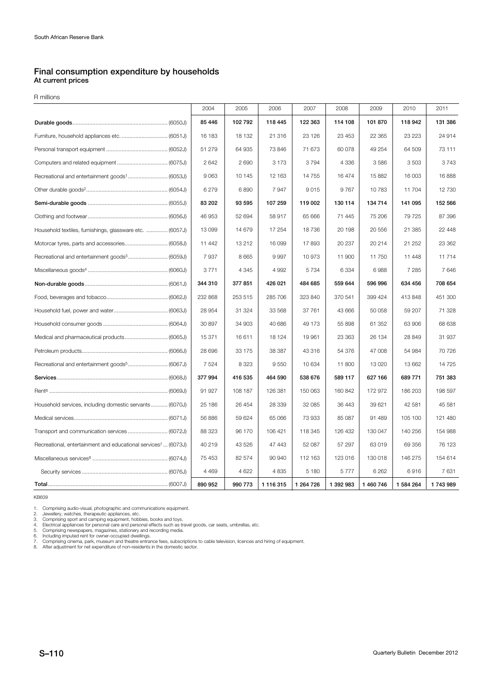# Final consumption expenditure by households At current prices

R millions

|                                                                           | 2004     | 2005    | 2006      | 2007       | 2008      | 2009      | 2010      | 2011    |
|---------------------------------------------------------------------------|----------|---------|-----------|------------|-----------|-----------|-----------|---------|
|                                                                           | 85 4 46  | 102792  | 118 445   | 122 363    | 114 108   | 101 870   | 118 942   | 131 386 |
|                                                                           | 16 183   | 18 132  | 21 316    | 23 1 26    | 23 453    | 22 3 65   | 23 223    | 24 914  |
|                                                                           | 51 279   | 64 935  | 73 846    | 71 673     | 60 078    | 49 254    | 64 509    | 73 111  |
|                                                                           | 2642     | 2690    | 3 1 7 3   | 3794       | 4 3 3 6   | 3586      | 3503      | 3743    |
| Recreational and entertainment goods <sup>1</sup> (6053J)                 | 9063     | 10 145  | 12 163    | 14755      | 16 474    | 15882     | 16 003    | 16888   |
|                                                                           | 6279     | 6890    | 7947      | 9015       | 9767      | 10783     | 11 704    | 12 730  |
|                                                                           | 83 202   | 93 595  | 107 259   | 119 002    | 130 114   | 134 714   | 141 095   | 152 566 |
|                                                                           | 46 953   | 52 694  | 58 917    | 65 666     | 71 445    | 75 206    | 79 725    | 87 396  |
| Household textiles, furnishings, glassware etc.  (6057J)                  | 13 0 9 9 | 14 679  | 17 254    | 18736      | 20 198    | 20 556    | 21 385    | 22 448  |
|                                                                           | 11 442   | 13 212  | 16 099    | 17893      | 20 237    | 20 214    | 21 252    | 23 362  |
|                                                                           | 7937     | 8665    | 9997      | 10973      | 11 900    | 11750     | 11 448    | 11714   |
|                                                                           | 3771     | 4 3 4 5 | 4 9 9 2   | 5734       | 6 3 3 4   | 6988      | 7 2 8 5   | 7646    |
|                                                                           | 344 310  | 377851  | 426 021   | 484 685    | 559 644   | 596 996   | 634 456   | 708 654 |
|                                                                           | 232 868  | 253 515 | 285 706   | 323 840    | 370 541   | 399 424   | 413 848   | 451 300 |
|                                                                           | 28 9 54  | 31 324  | 33 568    | 37 761     | 43 666    | 50 058    | 59 207    | 71 328  |
|                                                                           | 30 897   | 34 903  | 40 686    | 49 173     | 55 898    | 61 352    | 63 906    | 68 638  |
| Medical and pharmaceutical products (6065J)                               | 15 371   | 16611   | 18 124    | 19 961     | 23 363    | 26 134    | 28 849    | 31 937  |
|                                                                           | 28 696   | 33 175  | 38 387    | 43 316     | 54 376    | 47 008    | 54 984    | 70 726  |
| Recreational and entertainment goods <sup>5</sup> (6067J)                 | 7524     | 8 3 2 3 | 9550      | 10 634     | 11 800    | 13 0 20   | 13 662    | 14 725  |
|                                                                           | 377994   | 416 535 | 464 590   | 538 676    | 589 117   | 627 166   | 689 771   | 751 383 |
|                                                                           | 91 927   | 108 187 | 126 381   | 150 063    | 160 842   | 172 972   | 186 203   | 198 597 |
| Household services, including domestic servants (6070J)                   | 25 186   | 26 454  | 28 339    | 32 085     | 36 443    | 39 621    | 42 581    | 45 581  |
|                                                                           | 56 886   | 59 624  | 65 066    | 73 933     | 85 087    | 91 489    | 105 100   | 121 480 |
|                                                                           | 88 323   | 96 170  | 106 421   | 118 345    | 126 432   | 130 047   | 140 256   | 154 988 |
| Recreational, entertainment and educational services <sup>7</sup> (6073J) | 40 219   | 43 5 26 | 47 443    | 52 087     | 57 297    | 63019     | 69 35 6   | 76 123  |
|                                                                           | 75 453   | 82 574  | 90 940    | 112 163    | 123 016   | 130 018   | 146 275   | 154 614 |
|                                                                           | 4 4 6 9  | 4 6 2 2 | 4 8 3 5   | 5 1 8 0    | 5777      | 6 2 6 2   | 6916      | 7631    |
|                                                                           | 890 952  | 990 773 | 1 116 315 | 1 264 7 26 | 1 392 983 | 1 460 746 | 1 584 264 | 1743989 |

KB609

1. Comprising audio-visual, photographic and communications equipment.<br>2. Jewellery, watches, therapeutic appliances, etc.<br>3. Comprising sport and camping equipment, hobbies, books and toys.<br>4. Electrical appliances for pe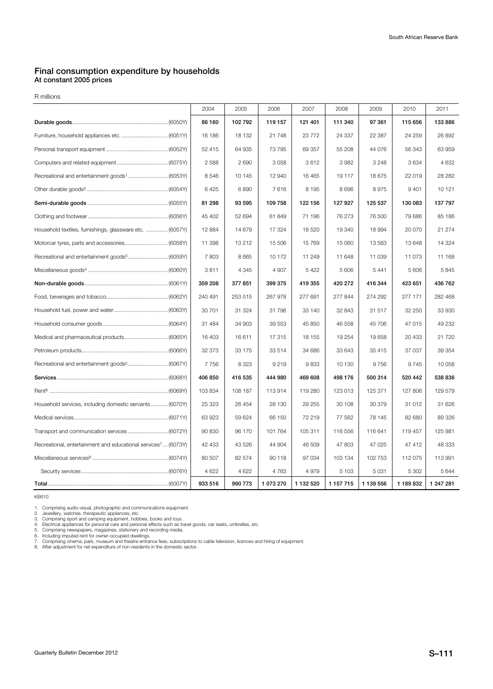## Final consumption expenditure by households At constant 2005 prices

R millions

|                                                                           | 2004    | 2005    | 2006      | 2007      | 2008      | 2009      | 2010    | 2011      |
|---------------------------------------------------------------------------|---------|---------|-----------|-----------|-----------|-----------|---------|-----------|
|                                                                           | 86 160  | 102792  | 119 157   | 121 401   | 111 340   | 97 361    | 115 656 | 133886    |
|                                                                           | 16 186  | 18 132  | 21 748    | 23 7 7 2  | 24 337    | 22 387    | 24 259  | 26 892    |
|                                                                           | 52 415  | 64 935  | 73 795    | 69 357    | 55 208    | 44 0 76   | 56 343  | 63 959    |
|                                                                           | 2 5 8 8 | 2690    | 3058      | 3612      | 3982      | 3 2 4 8   | 3634    | 4 6 3 2   |
|                                                                           | 8546    | 10 145  | 12 940    | 16 4 65   | 19 117    | 18 675    | 22 019  | 28 28 2   |
|                                                                           | 6425    | 6890    | 7616      | 8 1 9 5   | 8696      | 8975      | 9401    | 10 121    |
|                                                                           | 81 298  | 93 595  | 109 758   | 122 156   | 127 927   | 125 537   | 130 083 | 137 797   |
|                                                                           | 45 402  | 52 694  | 61 849    | 71 196    | 76 273    | 76 500    | 79 686  | 85 186    |
| Household textiles, furnishings, glassware etc.  (6057Y)                  | 12 8 84 | 14 679  | 17 324    | 18 5 20   | 19 340    | 18 994    | 20 070  | 21 274    |
| Motorcar tyres, parts and accessories (6058Y)                             | 11 398  | 13 212  | 15 506    | 15 769    | 15 060    | 13 563    | 13648   | 14 3 24   |
|                                                                           | 7803    | 8 6 6 5 | 10 172    | 11 249    | 11 648    | 11 039    | 11 073  | 11 168    |
|                                                                           | 3811    | 4 3 4 5 | 4 9 0 7   | 5 4 2 2   | 5 606     | 5 4 4 1   | 5 606   | 5845      |
|                                                                           | 359 208 | 377 851 | 399 375   | 419 355   | 420 272   | 416 344   | 423 651 | 436 762   |
|                                                                           | 240 491 | 253 515 | 267 978   | 277 691   | 277 844   | 274 292   | 277 171 | 282 468   |
|                                                                           | 30 701  | 31 324  | 31 796    | 33 140    | 32 843    | 31 517    | 32 250  | 33 930    |
|                                                                           | 31 484  | 34 903  | 39 553    | 45 850    | 46 558    | 45 706    | 47 015  | 49 232    |
| Medical and pharmaceutical products (6065Y)                               | 16 403  | 16 611  | 17 315    | 18 155    | 19 254    | 19 658    | 20 433  | 21 7 20   |
|                                                                           | 32 373  | 33 175  | 33 514    | 34 686    | 33 643    | 35 415    | 37 037  | 39 354    |
|                                                                           | 7756    | 8 3 2 3 | 9 2 1 9   | 9833      | 10 130    | 9756      | 9745    | 10 058    |
|                                                                           | 406 850 | 416 535 | 444 980   | 469 608   | 498 176   | 500 314   | 520 442 | 538 836   |
|                                                                           | 103 834 | 108 187 | 113 914   | 119 280   | 123 013   | 125 371   | 127 806 | 129 579   |
| Household services, including domestic servants (6070Y)                   | 25 323  | 26 454  | 28 130    | 29 255    | 30 108    | 30 379    | 31 012  | 31 626    |
|                                                                           | 63 923  | 59 624  | 66 150    | 72 219    | 77 562    | 78 145    | 82 680  | 89 326    |
|                                                                           | 90 830  | 96 170  | 101 764   | 105 311   | 116 556   | 116 641   | 119 457 | 125 981   |
| Recreational, entertainment and educational services <sup>7</sup> (6073Y) | 42 433  | 43 5 26 | 44 904    | 46 509    | 47 803    | 47 025    | 47 412  | 48 333    |
|                                                                           | 80 507  | 82 574  | 90 118    | 97 034    | 103 134   | 102 753   | 112 075 | 113 991   |
|                                                                           | 4 6 22  | 4 6 22  | 4763      | 4979      | 5 1 0 3   | 5 0 31    | 5 3 0 2 | 5 6 4 4   |
|                                                                           | 933 516 | 990 773 | 1 073 270 | 1 132 520 | 1 157 715 | 1 139 556 | 1189832 | 1 247 281 |

KB610

1. Comprising audio-visual, photographic and communications equipment.<br>2. Jewellery, watches, therapeutic appliances, etc.<br>3. Comprising sport and camping equipment, hobbies, books and toys.<br>4. Electrical appliances for pe